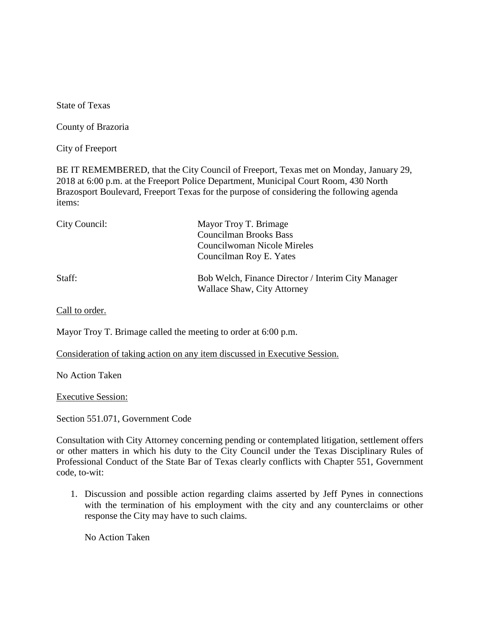State of Texas

County of Brazoria

City of Freeport

BE IT REMEMBERED, that the City Council of Freeport, Texas met on Monday, January 29, 2018 at 6:00 p.m. at the Freeport Police Department, Municipal Court Room, 430 North Brazosport Boulevard, Freeport Texas for the purpose of considering the following agenda items:

| City Council: | Mayor Troy T. Brimage<br><b>Councilman Brooks Bass</b><br>Councilwoman Nicole Mireles<br>Councilman Roy E. Yates |
|---------------|------------------------------------------------------------------------------------------------------------------|
| Staff:        | Bob Welch, Finance Director / Interim City Manager<br>Wallace Shaw, City Attorney                                |

Call to order.

Mayor Troy T. Brimage called the meeting to order at 6:00 p.m.

Consideration of taking action on any item discussed in Executive Session.

No Action Taken

Executive Session:

Section 551.071, Government Code

Consultation with City Attorney concerning pending or contemplated litigation, settlement offers or other matters in which his duty to the City Council under the Texas Disciplinary Rules of Professional Conduct of the State Bar of Texas clearly conflicts with Chapter 551, Government code, to-wit:

1. Discussion and possible action regarding claims asserted by Jeff Pynes in connections with the termination of his employment with the city and any counterclaims or other response the City may have to such claims.

No Action Taken